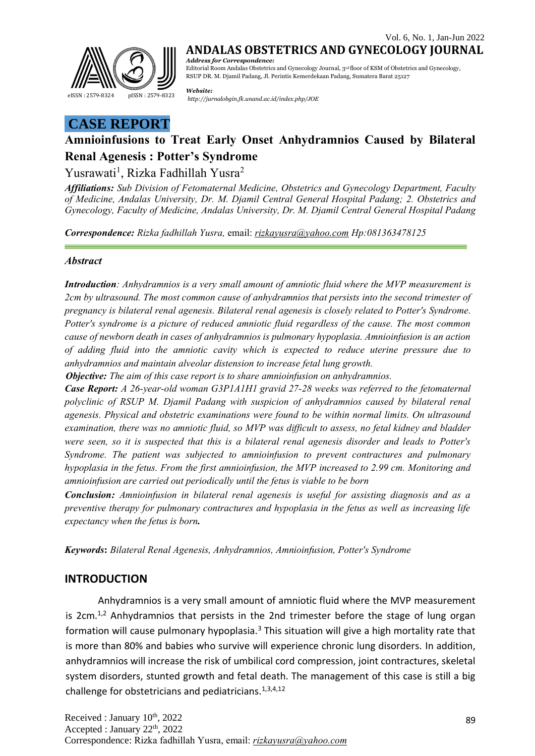

**ANDALAS OBSTETRICS AND GYNECOLOGY JOURNAL** *Address for Correspondence:*

Editorial Room Andalas Obstetrics and Gynecology Journal, 3rd floor of KSM of Obstetrics and Gynecology, RSUP DR. M. Djamil Padang, Jl. Perintis Kemerdekaan Padang, Sumatera Barat 25127

*Website: <http://jurnalobgin.fk.unand.ac.id/index.php/JOE>* eISSN : 2579-8324 pISSN : 2579-8323

# **CASE REPORT**

# **Amnioinfusions to Treat Early Onset Anhydramnios Caused by Bilateral Renal Agenesis : Potter's Syndrome**

## Yusrawati<sup>1</sup>, Rizka Fadhillah Yusra<sup>2</sup>

*Affiliations: Sub Division of Fetomaternal Medicine, Obstetrics and Gynecology Department, Faculty of Medicine, Andalas University, Dr. M. Djamil Central General Hospital Padang; 2. Obstetrics and Gynecology, Faculty of Medicine, Andalas University, Dr. M. Djamil Central General Hospital Padang*

*Correspondence: Rizka fadhillah Yusra,* email: *[rizkayusra@yahoo.com](mailto:rizkayusra@yahoo.com) Hp:081363478125*

## *Abstract*

*Introduction: Anhydramnios is a very small amount of amniotic fluid where the MVP measurement is 2cm by ultrasound. The most common cause of anhydramnios that persists into the second trimester of pregnancy is bilateral renal agenesis. Bilateral renal agenesis is closely related to Potter's Syndrome. Potter's syndrome is a picture of reduced amniotic fluid regardless of the cause. The most common cause of newborn death in cases of anhydramnios is pulmonary hypoplasia. Amnioinfusion is an action of adding fluid into the amniotic cavity which is expected to reduce uterine pressure due to anhydramnios and maintain alveolar distension to increase fetal lung growth.*

*Objective: The aim of this case report is to share amnioinfusion on anhydramnios.*

*Case Report: A 26-year-old woman G3P1A1H1 gravid 27-28 weeks was referred to the fetomaternal polyclinic of RSUP M. Djamil Padang with suspicion of anhydramnios caused by bilateral renal agenesis. Physical and obstetric examinations were found to be within normal limits. On ultrasound examination, there was no amniotic fluid, so MVP was difficult to assess, no fetal kidney and bladder were seen, so it is suspected that this is a bilateral renal agenesis disorder and leads to Potter's Syndrome. The patient was subjected to amnioinfusion to prevent contractures and pulmonary hypoplasia in the fetus. From the first amnioinfusion, the MVP increased to 2.99 cm. Monitoring and amnioinfusion are carried out periodically until the fetus is viable to be born*

*Conclusion: Amnioinfusion in bilateral renal agenesis is useful for assisting diagnosis and as a preventive therapy for pulmonary contractures and hypoplasia in the fetus as well as increasing life expectancy when the fetus is born.*

*Keywords***:** *Bilateral Renal Agenesis, Anhydramnios, Amnioinfusion, Potter's Syndrome*

## **INTRODUCTION**

Anhydramnios is a very small amount of amniotic fluid where the MVP measurement is 2cm. $1/2$  Anhydramnios that persists in the 2nd trimester before the stage of lung organ formation will cause pulmonary hypoplasia.<sup>3</sup> This situation will give a high mortality rate that is more than 80% and babies who survive will experience chronic lung disorders. In addition, anhydramnios will increase the risk of umbilical cord compression, joint contractures, skeletal system disorders, stunted growth and fetal death. The management of this case is still a big challenge for obstetricians and pediatricians.<sup>1,3,4,12</sup>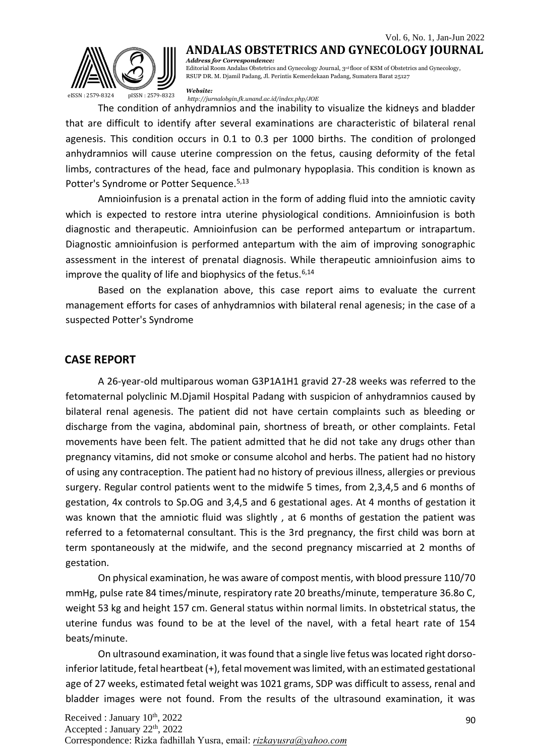#### Vol. 6, No. 1, Jan-Jun 2022 **ANDALAS OBSTETRICS AND GYNECOLOGY JOURNAL**



*Address for Correspondence:* Editorial Room Andalas Obstetrics and Gynecology Journal, 3rd floor of KSM of Obstetrics and Gynecology, RSUP DR. M. Djamil Padang, Jl. Perintis Kemerdekaan Padang, Sumatera Barat 25127

*Website:*

*<http://jurnalobgin.fk.unand.ac.id/index.php/JOE>* eISSN : 2579-8324 pISSN : 2579-8323

The condition of anhydramnios and the inability to visualize the kidneys and bladder that are difficult to identify after several examinations are characteristic of bilateral renal agenesis. This condition occurs in 0.1 to 0.3 per 1000 births. The condition of prolonged anhydramnios will cause uterine compression on the fetus, causing deformity of the fetal limbs, contractures of the head, face and pulmonary hypoplasia. This condition is known as Potter's Syndrome or Potter Sequence.<sup>5,13</sup>

Amnioinfusion is a prenatal action in the form of adding fluid into the amniotic cavity which is expected to restore intra uterine physiological conditions. Amnioinfusion is both diagnostic and therapeutic. Amnioinfusion can be performed antepartum or intrapartum. Diagnostic amnioinfusion is performed antepartum with the aim of improving sonographic assessment in the interest of prenatal diagnosis. While therapeutic amnioinfusion aims to improve the quality of life and biophysics of the fetus.  $6,14$ 

Based on the explanation above, this case report aims to evaluate the current management efforts for cases of anhydramnios with bilateral renal agenesis; in the case of a suspected Potter's Syndrome

### **CASE REPORT**

A 26-year-old multiparous woman G3P1A1H1 gravid 27-28 weeks was referred to the fetomaternal polyclinic M.Djamil Hospital Padang with suspicion of anhydramnios caused by bilateral renal agenesis. The patient did not have certain complaints such as bleeding or discharge from the vagina, abdominal pain, shortness of breath, or other complaints. Fetal movements have been felt. The patient admitted that he did not take any drugs other than pregnancy vitamins, did not smoke or consume alcohol and herbs. The patient had no history of using any contraception. The patient had no history of previous illness, allergies or previous surgery. Regular control patients went to the midwife 5 times, from 2,3,4,5 and 6 months of gestation, 4x controls to Sp.OG and 3,4,5 and 6 gestational ages. At 4 months of gestation it was known that the amniotic fluid was slightly , at 6 months of gestation the patient was referred to a fetomaternal consultant. This is the 3rd pregnancy, the first child was born at term spontaneously at the midwife, and the second pregnancy miscarried at 2 months of gestation.

On physical examination, he was aware of compost mentis, with blood pressure 110/70 mmHg, pulse rate 84 times/minute, respiratory rate 20 breaths/minute, temperature 36.8o C, weight 53 kg and height 157 cm. General status within normal limits. In obstetrical status, the uterine fundus was found to be at the level of the navel, with a fetal heart rate of 154 beats/minute.

On ultrasound examination, it was found that a single live fetus was located right dorsoinferior latitude, fetal heartbeat (+), fetal movement was limited, with an estimated gestational age of 27 weeks, estimated fetal weight was 1021 grams, SDP was difficult to assess, renal and bladder images were not found. From the results of the ultrasound examination, it was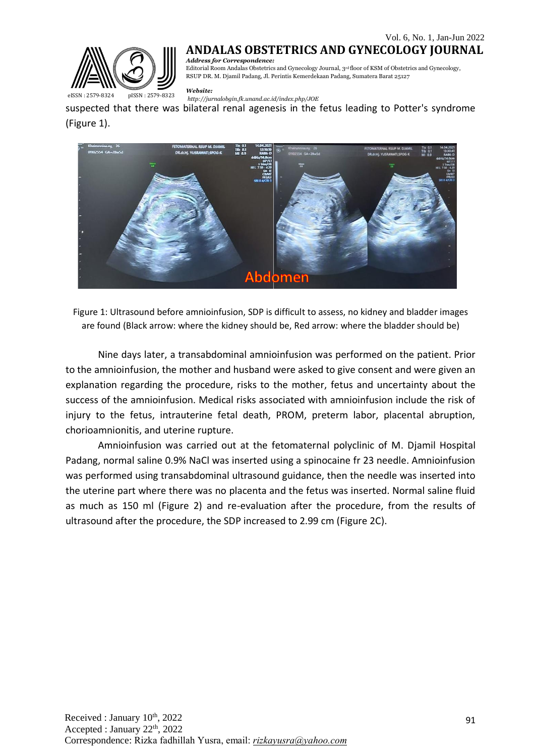

## **ANDALAS OBSTETRICS AND GYNECOLOGY JOURNAL**

*Address for Correspondence:* Editorial Room Andalas Obstetrics and Gynecology Journal, 3rd floor of KSM of Obstetrics and Gynecology, RSUP DR. M. Djamil Padang, Jl. Perintis Kemerdekaan Padang, Sumatera Barat 25127

*Website:*

*<http://jurnalobgin.fk.unand.ac.id/index.php/JOE>* eISSN : 2579-8324 pISSN : 2579-8323

suspected that there was bilateral renal agenesis in the fetus leading to Potter's syndrome (Figure 1).



Figure 1: Ultrasound before amnioinfusion, SDP is difficult to assess, no kidney and bladder images are found (Black arrow: where the kidney should be, Red arrow: where the bladder should be)

Nine days later, a transabdominal amnioinfusion was performed on the patient. Prior to the amnioinfusion, the mother and husband were asked to give consent and were given an explanation regarding the procedure, risks to the mother, fetus and uncertainty about the success of the amnioinfusion. Medical risks associated with amnioinfusion include the risk of injury to the fetus, intrauterine fetal death, PROM, preterm labor, placental abruption, chorioamnionitis, and uterine rupture.

Amnioinfusion was carried out at the fetomaternal polyclinic of M. Djamil Hospital Padang, normal saline 0.9% NaCl was inserted using a spinocaine fr 23 needle. Amnioinfusion was performed using transabdominal ultrasound guidance, then the needle was inserted into the uterine part where there was no placenta and the fetus was inserted. Normal saline fluid as much as 150 ml (Figure 2) and re-evaluation after the procedure, from the results of ultrasound after the procedure, the SDP increased to 2.99 cm (Figure 2C).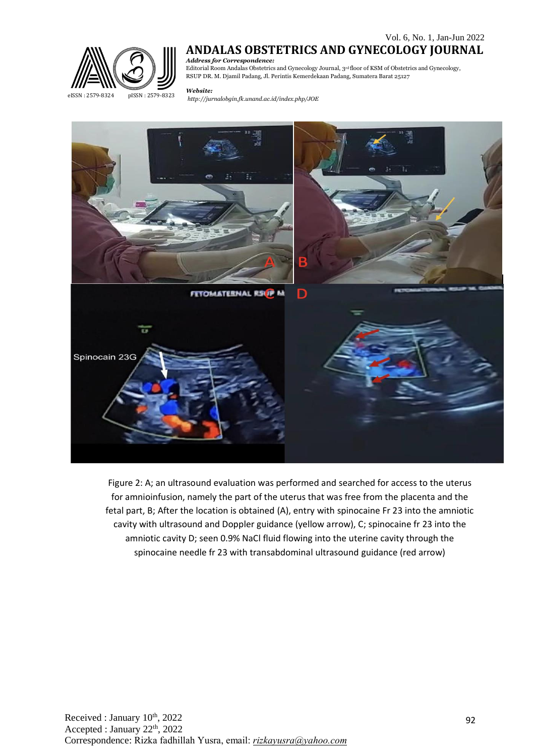

# **ANDALAS OBSTETRICS AND GYNECOLOGY JOURNAL**

*Address for Correspondence:* Editorial Room Andalas Obstetrics and Gynecology Journal, 3rd floor of KSM of Obstetrics and Gynecology, RSUP DR. M. Djamil Padang, Jl. Perintis Kemerdekaan Padang, Sumatera Barat 25127

#### *Website:*

*<http://jurnalobgin.fk.unand.ac.id/index.php/JOE>* eISSN : 2579-8324 pISSN : 2579-8323



Figure 2: A; an ultrasound evaluation was performed and searched for access to the uterus for amnioinfusion, namely the part of the uterus that was free from the placenta and the fetal part, B; After the location is obtained (A), entry with spinocaine Fr 23 into the amniotic cavity with ultrasound and Doppler guidance (yellow arrow), C; spinocaine fr 23 into the amniotic cavity D; seen 0.9% NaCl fluid flowing into the uterine cavity through the spinocaine needle fr 23 with transabdominal ultrasound guidance (red arrow)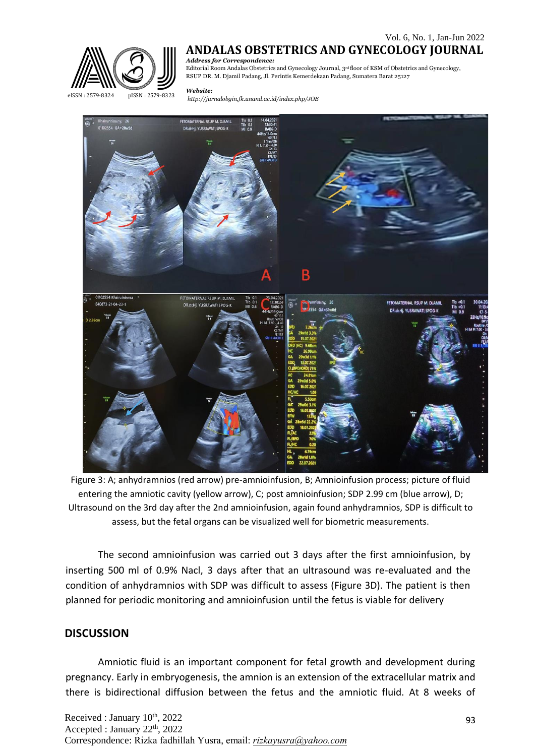

## **ANDALAS OBSTETRICS AND GYNECOLOGY JOURNAL**

*Address for Correspondence:* Editorial Room Andalas Obstetrics and Gynecology Journal, 3rd floor of KSM of Obstetrics and Gynecology, RSUP DR. M. Djamil Padang, Jl. Perintis Kemerdekaan Padang, Sumatera Barat 25127

#### *Website:*

*<http://jurnalobgin.fk.unand.ac.id/index.php/JOE>* eISSN : 2579-8324 pISSN : 2579-8323



Figure 3: A; anhydramnios (red arrow) pre-amnioinfusion, B; Amnioinfusion process; picture of fluid entering the amniotic cavity (yellow arrow), C; post amnioinfusion; SDP 2.99 cm (blue arrow), D; Ultrasound on the 3rd day after the 2nd amnioinfusion, again found anhydramnios, SDP is difficult to assess, but the fetal organs can be visualized well for biometric measurements.

The second amnioinfusion was carried out 3 days after the first amnioinfusion, by inserting 500 ml of 0.9% Nacl, 3 days after that an ultrasound was re-evaluated and the condition of anhydramnios with SDP was difficult to assess (Figure 3D). The patient is then planned for periodic monitoring and amnioinfusion until the fetus is viable for delivery

## **DISCUSSION**

Amniotic fluid is an important component for fetal growth and development during pregnancy. Early in embryogenesis, the amnion is an extension of the extracellular matrix and there is bidirectional diffusion between the fetus and the amniotic fluid. At 8 weeks of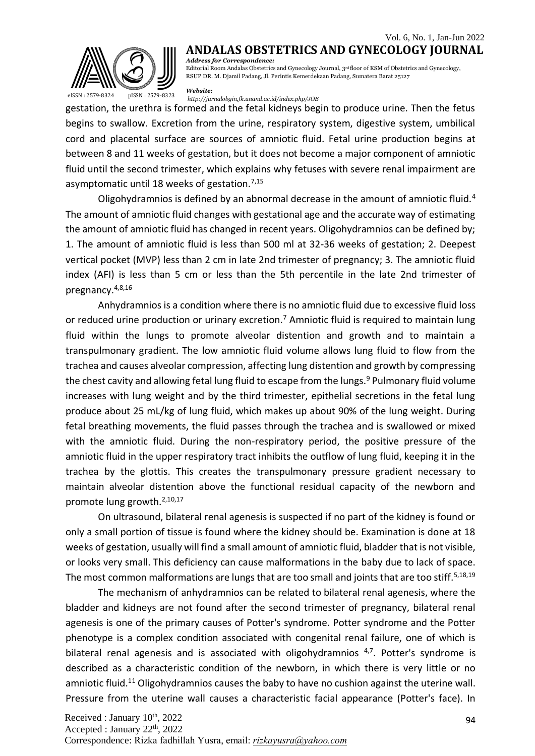## Vol. 6, No. 1, Jan-Jun 2022



**ANDALAS OBSTETRICS AND GYNECOLOGY JOURNAL** *Address for Correspondence:* Editorial Room Andalas Obstetrics and Gynecology Journal, 3rd floor of KSM of Obstetrics and Gynecology,

RSUP DR. M. Djamil Padang, Jl. Perintis Kemerdekaan Padang, Sumatera Barat 25127

*Website:*

*<http://jurnalobgin.fk.unand.ac.id/index.php/JOE>* eISSN : 2579-8324 pISSN : 2579-8323

gestation, the urethra is formed and the fetal kidneys begin to produce urine. Then the fetus begins to swallow. Excretion from the urine, respiratory system, digestive system, umbilical cord and placental surface are sources of amniotic fluid. Fetal urine production begins at between 8 and 11 weeks of gestation, but it does not become a major component of amniotic fluid until the second trimester, which explains why fetuses with severe renal impairment are asymptomatic until 18 weeks of gestation.<sup>7,15</sup>

Oligohydramnios is defined by an abnormal decrease in the amount of amniotic fluid.<sup>4</sup> The amount of amniotic fluid changes with gestational age and the accurate way of estimating the amount of amniotic fluid has changed in recent years. Oligohydramnios can be defined by; 1. The amount of amniotic fluid is less than 500 ml at 32-36 weeks of gestation; 2. Deepest vertical pocket (MVP) less than 2 cm in late 2nd trimester of pregnancy; 3. The amniotic fluid index (AFI) is less than 5 cm or less than the 5th percentile in the late 2nd trimester of pregnancy.4,8,16

Anhydramnios is a condition where there is no amniotic fluid due to excessive fluid loss or reduced urine production or urinary excretion.<sup>7</sup> Amniotic fluid is required to maintain lung fluid within the lungs to promote alveolar distention and growth and to maintain a transpulmonary gradient. The low amniotic fluid volume allows lung fluid to flow from the trachea and causes alveolar compression, affecting lung distention and growth by compressing the chest cavity and allowing fetal lung fluid to escape from the lungs.<sup>9</sup> Pulmonary fluid volume increases with lung weight and by the third trimester, epithelial secretions in the fetal lung produce about 25 mL/kg of lung fluid, which makes up about 90% of the lung weight. During fetal breathing movements, the fluid passes through the trachea and is swallowed or mixed with the amniotic fluid. During the non-respiratory period, the positive pressure of the amniotic fluid in the upper respiratory tract inhibits the outflow of lung fluid, keeping it in the trachea by the glottis. This creates the transpulmonary pressure gradient necessary to maintain alveolar distention above the functional residual capacity of the newborn and promote lung growth.<sup>2,10,17</sup>

On ultrasound, bilateral renal agenesis is suspected if no part of the kidney is found or only a small portion of tissue is found where the kidney should be. Examination is done at 18 weeks of gestation, usually will find a small amount of amniotic fluid, bladder that is not visible, or looks very small. This deficiency can cause malformations in the baby due to lack of space. The most common malformations are lungs that are too small and joints that are too stiff.<sup>5,18,19</sup>

The mechanism of anhydramnios can be related to bilateral renal agenesis, where the bladder and kidneys are not found after the second trimester of pregnancy, bilateral renal agenesis is one of the primary causes of Potter's syndrome. Potter syndrome and the Potter phenotype is a complex condition associated with congenital renal failure, one of which is bilateral renal agenesis and is associated with oligohydramnios  $4,7$ . Potter's syndrome is described as a characteristic condition of the newborn, in which there is very little or no amniotic fluid.<sup>11</sup> Oligohydramnios causes the baby to have no cushion against the uterine wall. Pressure from the uterine wall causes a characteristic facial appearance (Potter's face). In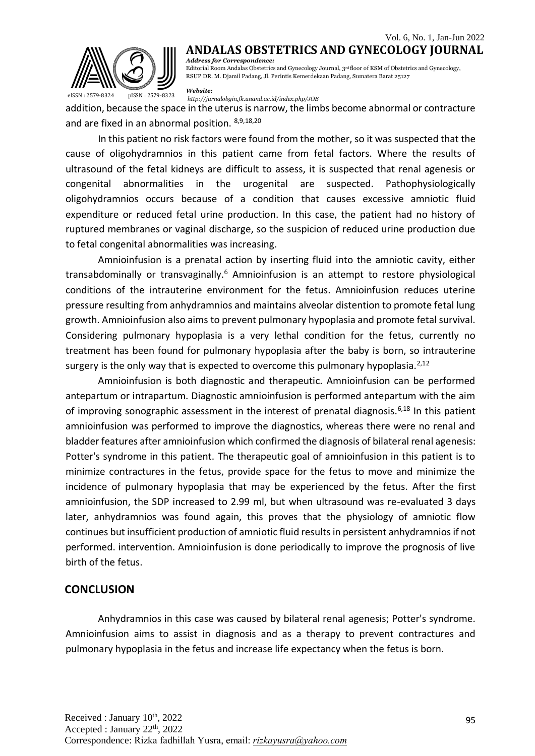

**ANDALAS OBSTETRICS AND GYNECOLOGY JOURNAL** *Address for Correspondence:* Editorial Room Andalas Obstetrics and Gynecology Journal, 3rd floor of KSM of Obstetrics and Gynecology, RSUP DR. M. Djamil Padang, Jl. Perintis Kemerdekaan Padang, Sumatera Barat 25127

*Website:*

*<http://jurnalobgin.fk.unand.ac.id/index.php/JOE>* eISSN : 2579-8324 pISSN : 2579-8323

addition, because the space in the uterus is narrow, the limbs become abnormal or contracture and are fixed in an abnormal position. 8,9,18,20

In this patient no risk factors were found from the mother, so it was suspected that the cause of oligohydramnios in this patient came from fetal factors. Where the results of ultrasound of the fetal kidneys are difficult to assess, it is suspected that renal agenesis or congenital abnormalities in the urogenital are suspected. Pathophysiologically oligohydramnios occurs because of a condition that causes excessive amniotic fluid expenditure or reduced fetal urine production. In this case, the patient had no history of ruptured membranes or vaginal discharge, so the suspicion of reduced urine production due to fetal congenital abnormalities was increasing.

Amnioinfusion is a prenatal action by inserting fluid into the amniotic cavity, either transabdominally or transvaginally.<sup>6</sup> Amnioinfusion is an attempt to restore physiological conditions of the intrauterine environment for the fetus. Amnioinfusion reduces uterine pressure resulting from anhydramnios and maintains alveolar distention to promote fetal lung growth. Amnioinfusion also aims to prevent pulmonary hypoplasia and promote fetal survival. Considering pulmonary hypoplasia is a very lethal condition for the fetus, currently no treatment has been found for pulmonary hypoplasia after the baby is born, so intrauterine surgery is the only way that is expected to overcome this pulmonary hypoplasia.<sup>2,12</sup>

Amnioinfusion is both diagnostic and therapeutic. Amnioinfusion can be performed antepartum or intrapartum. Diagnostic amnioinfusion is performed antepartum with the aim of improving sonographic assessment in the interest of prenatal diagnosis.<sup>6,18</sup> In this patient amnioinfusion was performed to improve the diagnostics, whereas there were no renal and bladder features after amnioinfusion which confirmed the diagnosis of bilateral renal agenesis: Potter's syndrome in this patient. The therapeutic goal of amnioinfusion in this patient is to minimize contractures in the fetus, provide space for the fetus to move and minimize the incidence of pulmonary hypoplasia that may be experienced by the fetus. After the first amnioinfusion, the SDP increased to 2.99 ml, but when ultrasound was re-evaluated 3 days later, anhydramnios was found again, this proves that the physiology of amniotic flow continues but insufficient production of amniotic fluid results in persistent anhydramnios if not performed. intervention. Amnioinfusion is done periodically to improve the prognosis of live birth of the fetus.

### **CONCLUSION**

Anhydramnios in this case was caused by bilateral renal agenesis; Potter's syndrome. Amnioinfusion aims to assist in diagnosis and as a therapy to prevent contractures and pulmonary hypoplasia in the fetus and increase life expectancy when the fetus is born.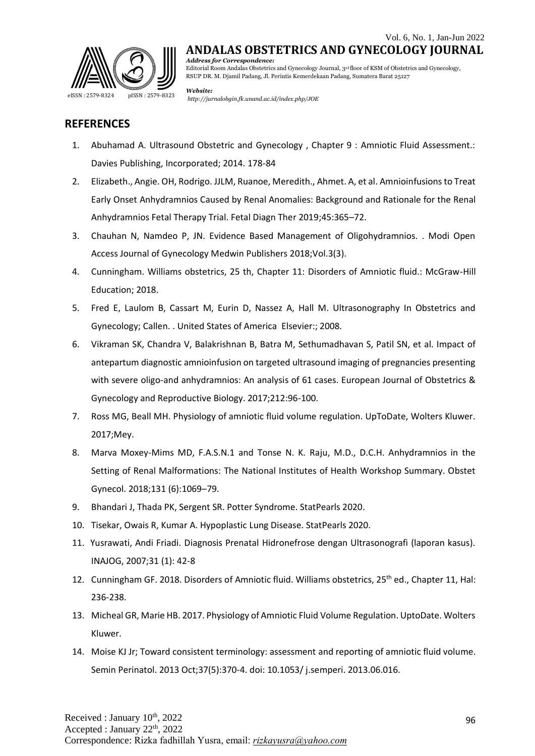

*Address for Correspondence:* Editorial Room Andalas Obstetrics and Gynecology Journal, 3rd floor of KSM of Obstetrics and Gynecology, RSUP DR. M. Djamil Padang, Jl. Perintis Kemerdekaan Padang, Sumatera Barat 25127

*Website:*

## **REFERENCES**

- 1. Abuhamad A. Ultrasound Obstetric and Gynecology , Chapter 9 : Amniotic Fluid Assessment.: Davies Publishing, Incorporated; 2014. 178-84
- 2. Elizabeth., Angie. OH, Rodrigo. JJLM, Ruanoe, Meredith., Ahmet. A, et al. Amnioinfusions to Treat Early Onset Anhydramnios Caused by Renal Anomalies: Background and Rationale for the Renal Anhydramnios Fetal Therapy Trial. Fetal Diagn Ther 2019;45:365–72.
- 3. Chauhan N, Namdeo P, JN. Evidence Based Management of Oligohydramnios. . Modi Open Access Journal of Gynecology Medwin Publishers 2018;Vol.3(3).
- 4. Cunningham. Williams obstetrics, 25 th, Chapter 11: Disorders of Amniotic fluid.: McGraw-Hill Education; 2018.
- 5. Fred E, Laulom B, Cassart M, Eurin D, Nassez A, Hall M. Ultrasonography In Obstetrics and Gynecology; Callen. . United States of America Elsevier:; 2008.
- 6. Vikraman SK, Chandra V, Balakrishnan B, Batra M, Sethumadhavan S, Patil SN, et al. Impact of antepartum diagnostic amnioinfusion on targeted ultrasound imaging of pregnancies presenting with severe oligo-and anhydramnios: An analysis of 61 cases. European Journal of Obstetrics & Gynecology and Reproductive Biology. 2017;212:96-100.
- 7. Ross MG, Beall MH. Physiology of amniotic fluid volume regulation. UpToDate, Wolters Kluwer. 2017;Mey.
- 8. Marva Moxey-Mims MD, F.A.S.N.1 and Tonse N. K. Raju, M.D., D.C.H. Anhydramnios in the Setting of Renal Malformations: The National Institutes of Health Workshop Summary. Obstet Gynecol. 2018;131 (6):1069–79.
- 9. Bhandari J, Thada PK, Sergent SR. Potter Syndrome. StatPearls 2020.
- 10. Tisekar, Owais R, Kumar A. Hypoplastic Lung Disease. StatPearls 2020.
- 11. Yusrawati, Andi Friadi. Diagnosis Prenatal Hidronefrose dengan Ultrasonografi (laporan kasus). INAJOG, 2007;31 (1): 42-8
- 12. Cunningham GF. 2018. Disorders of Amniotic fluid. Williams obstetrics, 25<sup>th</sup> ed., Chapter 11, Hal: 236-238.
- 13. Micheal GR, Marie HB. 2017. Physiology of Amniotic Fluid Volume Regulation. UptoDate. Wolters Kluwer.
- 14. Moise KJ Jr; Toward consistent terminology: assessment and reporting of amniotic fluid volume. Semin Perinatol. 2013 Oct;37(5):370-4. doi: 10.1053/ j.semperi. 2013.06.016.